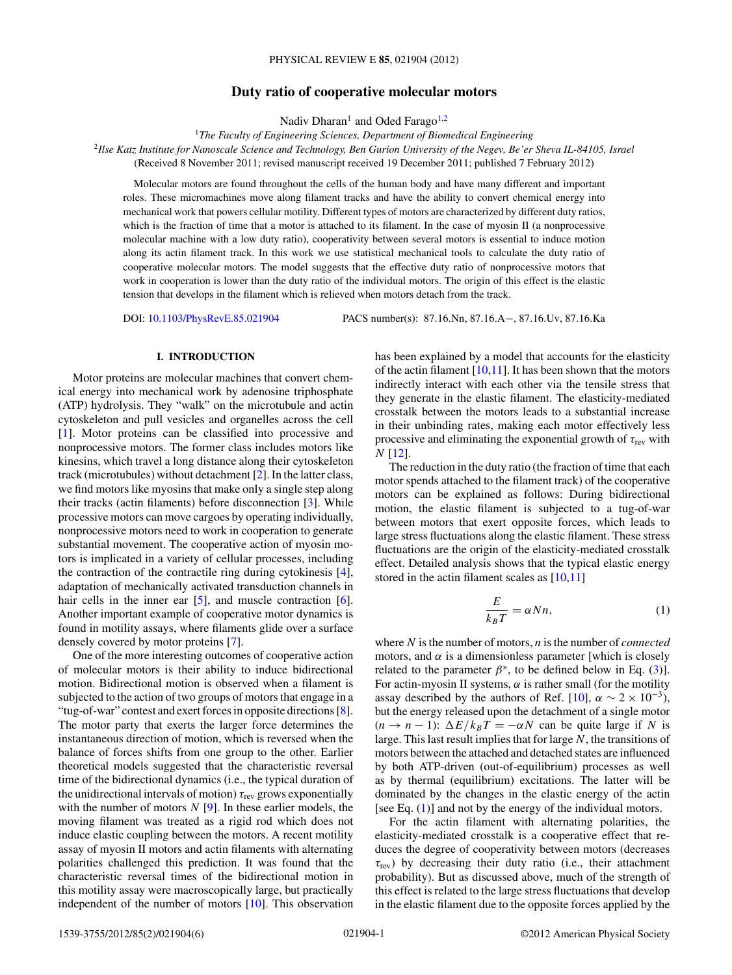# **Duty ratio of cooperative molecular motors**

Nadiv Dharan<sup>1</sup> and Oded Farago<sup>1,2</sup>

<sup>1</sup>The Faculty of Engineering Sciences, Department of Biomedical Engineering

<sup>2</sup>*Ilse Katz Institute for Nanoscale Science and Technology, Ben Gurion University of the Negev, Be'er Sheva IL-84105, Israel* (Received 8 November 2011; revised manuscript received 19 December 2011; published 7 February 2012)

Molecular motors are found throughout the cells of the human body and have many different and important roles. These micromachines move along filament tracks and have the ability to convert chemical energy into mechanical work that powers cellular motility. Different types of motors are characterized by different duty ratios, which is the fraction of time that a motor is attached to its filament. In the case of myosin II (a nonprocessive molecular machine with a low duty ratio), cooperativity between several motors is essential to induce motion along its actin filament track. In this work we use statistical mechanical tools to calculate the duty ratio of cooperative molecular motors. The model suggests that the effective duty ratio of nonprocessive motors that work in cooperation is lower than the duty ratio of the individual motors. The origin of this effect is the elastic tension that develops in the filament which is relieved when motors detach from the track.

DOI: [10.1103/PhysRevE.85.021904](http://dx.doi.org/10.1103/PhysRevE.85.021904) PACS number(s): 87*.*16*.*Nn, 87*.*16*.*A−, 87*.*16*.*Uv, 87*.*16*.*Ka

### **I. INTRODUCTION**

Motor proteins are molecular machines that convert chemical energy into mechanical work by adenosine triphosphate (ATP) hydrolysis. They "walk" on the microtubule and actin cytoskeleton and pull vesicles and organelles across the cell [\[1\]](#page-4-0). Motor proteins can be classified into processive and nonprocessive motors. The former class includes motors like kinesins, which travel a long distance along their cytoskeleton track (microtubules) without detachment [\[2\]](#page-4-0). In the latter class, we find motors like myosins that make only a single step along their tracks (actin filaments) before disconnection [\[3\]](#page-4-0). While processive motors can move cargoes by operating individually, nonprocessive motors need to work in cooperation to generate substantial movement. The cooperative action of myosin motors is implicated in a variety of cellular processes, including the contraction of the contractile ring during cytokinesis [\[4\]](#page-4-0), adaptation of mechanically activated transduction channels in hair cells in the inner ear  $[5]$ , and muscle contraction  $[6]$ . Another important example of cooperative motor dynamics is found in motility assays, where filaments glide over a surface densely covered by motor proteins [\[7\]](#page-5-0).

One of the more interesting outcomes of cooperative action of molecular motors is their ability to induce bidirectional motion. Bidirectional motion is observed when a filament is subjected to the action of two groups of motors that engage in a "tug-of-war" contest and exert forces in opposite directions [\[8\]](#page-5-0). The motor party that exerts the larger force determines the instantaneous direction of motion, which is reversed when the balance of forces shifts from one group to the other. Earlier theoretical models suggested that the characteristic reversal time of the bidirectional dynamics (i.e., the typical duration of the unidirectional intervals of motion) *τ*rev grows exponentially with the number of motors *N* [\[9\]](#page-5-0). In these earlier models, the moving filament was treated as a rigid rod which does not induce elastic coupling between the motors. A recent motility assay of myosin II motors and actin filaments with alternating polarities challenged this prediction. It was found that the characteristic reversal times of the bidirectional motion in this motility assay were macroscopically large, but practically independent of the number of motors [\[10\]](#page-5-0). This observation

has been explained by a model that accounts for the elasticity of the actin filament  $[10,11]$ . It has been shown that the motors indirectly interact with each other via the tensile stress that they generate in the elastic filament. The elasticity-mediated crosstalk between the motors leads to a substantial increase in their unbinding rates, making each motor effectively less processive and eliminating the exponential growth of *τ*rev with *N* [\[12\]](#page-5-0).

The reduction in the duty ratio (the fraction of time that each motor spends attached to the filament track) of the cooperative motors can be explained as follows: During bidirectional motion, the elastic filament is subjected to a tug-of-war between motors that exert opposite forces, which leads to large stress fluctuations along the elastic filament. These stress fluctuations are the origin of the elasticity-mediated crosstalk effect. Detailed analysis shows that the typical elastic energy stored in the actin filament scales as [\[10,11\]](#page-5-0)

$$
\frac{E}{k_B T} = \alpha N n,\tag{1}
$$

where *N* is the number of motors, *n* is the number of *connected* motors, and  $\alpha$  is a dimensionless parameter [which is closely related to the parameter  $\beta^*$ , to be defined below in Eq. [\(3\)](#page-1-0)]. For actin-myosin II systems,  $\alpha$  is rather small (for the motility assay described by the authors of Ref. [\[10\]](#page-5-0),  $\alpha \sim 2 \times 10^{-3}$ ), but the energy released upon the detachment of a single motor  $(n \rightarrow n - 1)$ :  $\Delta E / k_B T = -\alpha N$  can be quite large if *N* is large. This last result implies that for large *N*, the transitions of motors between the attached and detached states are influenced by both ATP-driven (out-of-equilibrium) processes as well as by thermal (equilibrium) excitations. The latter will be dominated by the changes in the elastic energy of the actin [see Eq. (1)] and not by the energy of the individual motors.

For the actin filament with alternating polarities, the elasticity-mediated crosstalk is a cooperative effect that reduces the degree of cooperativity between motors (decreases *τ*rev) by decreasing their duty ratio (i.e., their attachment probability). But as discussed above, much of the strength of this effect is related to the large stress fluctuations that develop in the elastic filament due to the opposite forces applied by the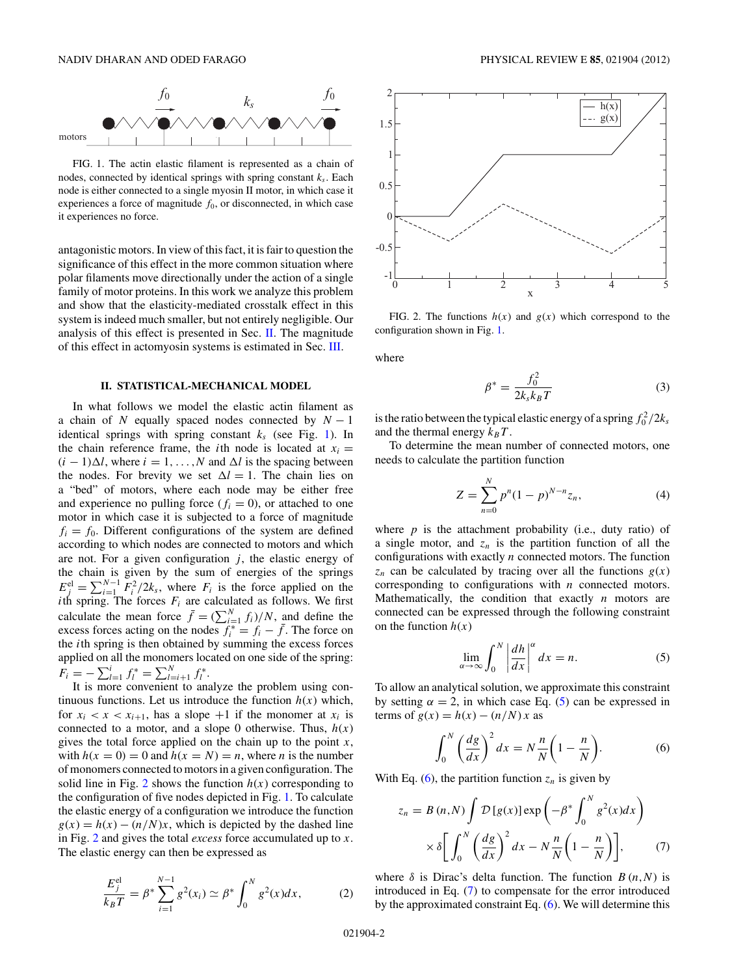<span id="page-1-0"></span>

FIG. 1. The actin elastic filament is represented as a chain of nodes, connected by identical springs with spring constant  $k_s$ . Each node is either connected to a single myosin II motor, in which case it experiences a force of magnitude  $f_0$ , or disconnected, in which case it experiences no force.

antagonistic motors. In view of this fact, it is fair to question the significance of this effect in the more common situation where polar filaments move directionally under the action of a single family of motor proteins. In this work we analyze this problem and show that the elasticity-mediated crosstalk effect in this system is indeed much smaller, but not entirely negligible. Our analysis of this effect is presented in Sec. II. The magnitude of this effect in actomyosin systems is estimated in Sec. [III.](#page-3-0)

#### **II. STATISTICAL-MECHANICAL MODEL**

In what follows we model the elastic actin filament as a chain of *N* equally spaced nodes connected by  $N - 1$ identical springs with spring constant  $k<sub>s</sub>$  (see Fig. 1). In the chain reference frame, the *i*th node is located at  $x_i =$  $(i - 1)\Delta l$ , where  $i = 1, ..., N$  and  $\Delta l$  is the spacing between the nodes. For brevity we set  $\Delta l = 1$ . The chain lies on a "bed" of motors, where each node may be either free and experience no pulling force  $(f<sub>i</sub> = 0)$ , or attached to one motor in which case it is subjected to a force of magnitude  $f_i = f_0$ . Different configurations of the system are defined according to which nodes are connected to motors and which are not. For a given configuration  $j$ , the elastic energy of the chain is given by the sum of energies of the springs  $E_j^{\text{el}} = \sum_{i=1}^{N-1} F_i^2 / 2k_s$ , where  $F_i$  is the force applied on the *i*th spring. The forces  $F_i$  are calculated as follows. We first calculate the mean force  $\bar{f} = (\sum_{i=1}^{N} f_i)/N$ , and define the excess forces acting on the nodes  $f_i^* = f_i - \bar{f}$ . The force on the *i*th spring is then obtained by summing the excess forces applied on all the monomers located on one side of the spring:  $F_i = -\sum_{l=1}^i f_l^* = \sum_{l=i+1}^N f_l^*.$ 

It is more convenient to analyze the problem using continuous functions. Let us introduce the function  $h(x)$  which, for  $x_i < x < x_{i+1}$ , has a slope  $+1$  if the monomer at  $x_i$  is connected to a motor, and a slope 0 otherwise. Thus,  $h(x)$ gives the total force applied on the chain up to the point *x*, with  $h(x = 0) = 0$  and  $h(x = N) = n$ , where *n* is the number of monomers connected to motors in a given configuration. The solid line in Fig. 2 shows the function  $h(x)$  corresponding to the configuration of five nodes depicted in Fig. 1. To calculate the elastic energy of a configuration we introduce the function  $g(x) = h(x) - (n/N)x$ , which is depicted by the dashed line in Fig. 2 and gives the total *excess* force accumulated up to *x*. The elastic energy can then be expressed as

$$
\frac{E_j^{\text{el}}}{k_B T} = \beta^* \sum_{i=1}^{N-1} g^2(x_i) \simeq \beta^* \int_0^N g^2(x) dx, \tag{2}
$$



FIG. 2. The functions  $h(x)$  and  $g(x)$  which correspond to the configuration shown in Fig. 1.

where

$$
\beta^* = \frac{f_0^2}{2k_s k_B T} \tag{3}
$$

is the ratio between the typical elastic energy of a spring  $f_0^2/2k_s$ and the thermal energy  $k_B T$ .

To determine the mean number of connected motors, one needs to calculate the partition function

$$
Z = \sum_{n=0}^{N} p^n (1-p)^{N-n} z_n,
$$
 (4)

where  $p$  is the attachment probability (i.e., duty ratio) of a single motor, and  $z_n$  is the partition function of all the configurations with exactly *n* connected motors. The function  $z_n$  can be calculated by tracing over all the functions  $g(x)$ corresponding to configurations with *n* connected motors. Mathematically, the condition that exactly *n* motors are connected can be expressed through the following constraint on the function  $h(x)$ 

$$
\lim_{\alpha \to \infty} \int_0^N \left| \frac{dh}{dx} \right|^\alpha dx = n. \tag{5}
$$

To allow an analytical solution, we approximate this constraint by setting  $\alpha = 2$ , in which case Eq. (5) can be expressed in terms of  $g(x) = h(x) - (n/N)x$  as

$$
\int_0^N \left(\frac{dg}{dx}\right)^2 dx = N\frac{n}{N}\left(1 - \frac{n}{N}\right). \tag{6}
$$

With Eq.  $(6)$ , the partition function  $z_n$  is given by

$$
z_n = B(n,N) \int \mathcal{D}[g(x)] \exp\left(-\beta^* \int_0^N g^2(x) dx\right)
$$

$$
\times \delta \left[ \int_0^N \left(\frac{dg}{dx}\right)^2 dx - N \frac{n}{N} \left(1 - \frac{n}{N}\right) \right], \tag{7}
$$

where  $\delta$  is Dirac's delta function. The function  $B(n,N)$  is introduced in Eq. (7) to compensate for the error introduced by the approximated constraint Eq. (6). We will determine this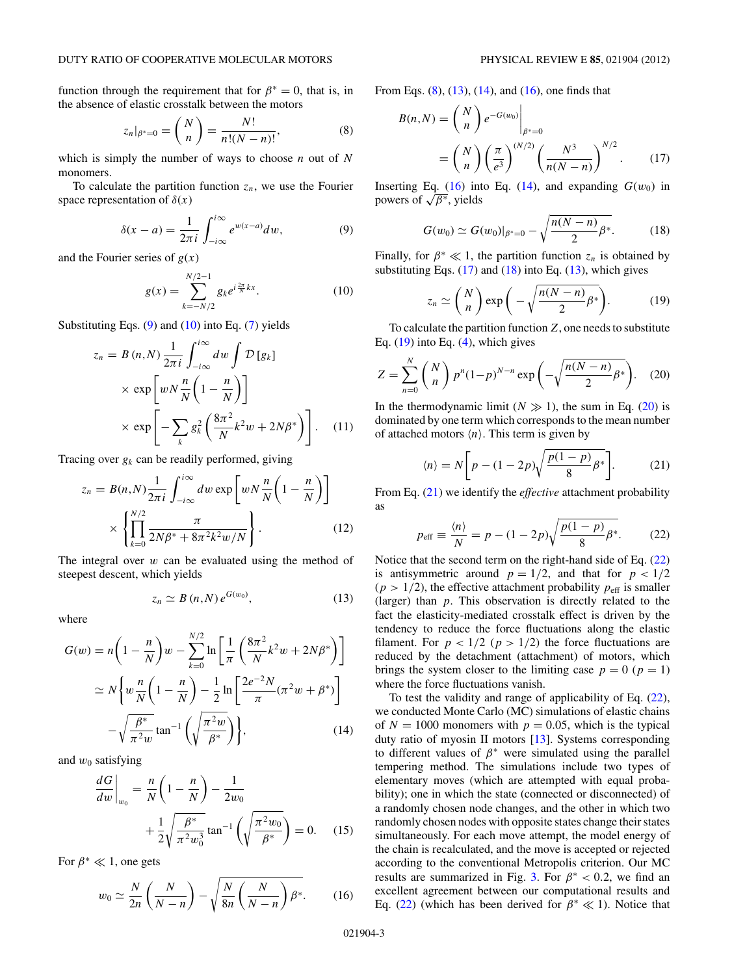<span id="page-2-0"></span>function through the requirement that for  $\beta^* = 0$ , that is, in the absence of elastic crosstalk between the motors

$$
z_n|_{\beta^*=0} = \binom{N}{n} = \frac{N!}{n!(N-n)!},\tag{8}
$$

which is simply the number of ways to choose *n* out of *N* monomers.

To calculate the partition function  $z_n$ , we use the Fourier space representation of  $\delta(x)$ 

$$
\delta(x-a) = \frac{1}{2\pi i} \int_{-i\infty}^{i\infty} e^{w(x-a)} dw, \tag{9}
$$

and the Fourier series of  $g(x)$ 

$$
g(x) = \sum_{k=-N/2}^{N/2-1} g_k e^{i\frac{2\pi}{N}kx}.
$$
 (10)

Substituting Eqs.  $(9)$  and  $(10)$  into Eq.  $(7)$  yields

$$
z_n = B(n,N) \frac{1}{2\pi i} \int_{-i\infty}^{i\infty} dw \int \mathcal{D}[g_k]
$$
  
 
$$
\times \exp\left[wN\frac{n}{N}\left(1 - \frac{n}{N}\right)\right]
$$
  
 
$$
\times \exp\left[-\sum_k g_k^2 \left(\frac{8\pi^2}{N}k^2w + 2N\beta^*\right)\right].
$$
 (11)

Tracing over  $g_k$  can be readily performed, giving

$$
z_n = B(n,N) \frac{1}{2\pi i} \int_{-i\infty}^{i\infty} dw \exp\left[wN\frac{n}{N}\left(1 - \frac{n}{N}\right)\right]
$$

$$
\times \left\{\prod_{k=0}^{N/2} \frac{\pi}{2N\beta^* + 8\pi^2 k^2 w/N}\right\}.
$$
(12)

The integral over *w* can be evaluated using the method of steepest descent, which yields

$$
z_n \simeq B(n,N) e^{G(w_0)}, \qquad (13)
$$

where

$$
G(w) = n\left(1 - \frac{n}{N}\right)w - \sum_{k=0}^{N/2} \ln\left[\frac{1}{\pi}\left(\frac{8\pi^2}{N}k^2w + 2N\beta^*\right)\right]
$$

$$
\simeq N\left\{w\frac{n}{N}\left(1 - \frac{n}{N}\right) - \frac{1}{2}\ln\left[\frac{2e^{-2}N}{\pi}(\pi^2w + \beta^*)\right]
$$

$$
-\sqrt{\frac{\beta^*}{\pi^2w}}\tan^{-1}\left(\sqrt{\frac{\pi^2w}{\beta^*}}\right)\right\},\tag{14}
$$

and  $w_0$  satisfying

$$
\frac{dG}{dw}\bigg|_{w_0} = \frac{n}{N} \left(1 - \frac{n}{N}\right) - \frac{1}{2w_0} + \frac{1}{2} \sqrt{\frac{\beta^*}{\pi^2 w_0^3}} \tan^{-1} \left(\sqrt{\frac{\pi^2 w_0}{\beta^*}}\right) = 0. \quad (15)
$$

For  $\beta^* \ll 1$ , one gets

$$
w_0 \simeq \frac{N}{2n} \left( \frac{N}{N-n} \right) - \sqrt{\frac{N}{8n} \left( \frac{N}{N-n} \right) \beta^*}. \tag{16}
$$

From Eqs.  $(8)$ ,  $(13)$ ,  $(14)$ , and  $(16)$ , one finds that

$$
B(n,N) = {N \choose n} e^{-G(w_0)} \Big|_{\beta^*=0}
$$
  
=  ${N \choose n} \left(\frac{\pi}{e^3}\right)^{(N/2)} \left(\frac{N^3}{n(N-n)}\right)^{N/2}$ . (17)

Inserting Eq. (16) into Eq. (14), and expanding  $G(w_0)$  in powers of √*β*∗, yields

$$
G(w_0) \simeq G(w_0)|_{\beta^*=0} - \sqrt{\frac{n(N-n)}{2}\beta^*}.
$$
 (18)

Finally, for  $\beta^* \ll 1$ , the partition function  $z_n$  is obtained by substituting Eqs.  $(17)$  and  $(18)$  into Eq.  $(13)$ , which gives

$$
z_n \simeq {N \choose n} \exp\bigg(-\sqrt{n(N-n) \over 2} \beta^*\bigg). \tag{19}
$$

To calculate the partition function*Z*, one needs to substitute Eq.  $(19)$  into Eq.  $(4)$ , which gives

$$
Z = \sum_{n=0}^{N} {N \choose n} p^{n} (1-p)^{N-n} \exp\left(-\sqrt{\frac{n(N-n)}{2} \beta^{*}}\right).
$$
 (20)

In the thermodynamic limit  $(N \gg 1)$ , the sum in Eq. (20) is dominated by one term which corresponds to the mean number of attached motors  $\langle n \rangle$ . This term is given by

$$
\langle n \rangle = N \bigg[ p - (1 - 2p) \sqrt{\frac{p(1 - p)}{8} \beta^*} \bigg]. \tag{21}
$$

From Eq. (21) we identify the *effective* attachment probability as

$$
p_{\text{eff}} \equiv \frac{\langle n \rangle}{N} = p - (1 - 2p) \sqrt{\frac{p(1 - p)}{8} \beta^*}. \tag{22}
$$

Notice that the second term on the right-hand side of Eq. (22) is antisymmetric around  $p = 1/2$ , and that for  $p < 1/2$  $(p > 1/2)$ , the effective attachment probability  $p_{\text{eff}}$  is smaller (larger) than *p*. This observation is directly related to the fact the elasticity-mediated crosstalk effect is driven by the tendency to reduce the force fluctuations along the elastic filament. For  $p < 1/2$  ( $p > 1/2$ ) the force fluctuations are reduced by the detachment (attachment) of motors, which brings the system closer to the limiting case  $p = 0$  ( $p = 1$ ) where the force fluctuations vanish.

To test the validity and range of applicability of Eq. (22), we conducted Monte Carlo (MC) simulations of elastic chains of  $N = 1000$  monomers with  $p = 0.05$ , which is the typical duty ratio of myosin II motors [\[13\]](#page-5-0). Systems corresponding to different values of  $\beta^*$  were simulated using the parallel tempering method. The simulations include two types of elementary moves (which are attempted with equal probability); one in which the state (connected or disconnected) of a randomly chosen node changes, and the other in which two randomly chosen nodes with opposite states change their states simultaneously. For each move attempt, the model energy of the chain is recalculated, and the move is accepted or rejected according to the conventional Metropolis criterion. Our MC results are summarized in Fig. [3.](#page-3-0) For  $\beta^* < 0.2$ , we find an excellent agreement between our computational results and Eq. (22) (which has been derived for  $\beta^* \ll 1$ ). Notice that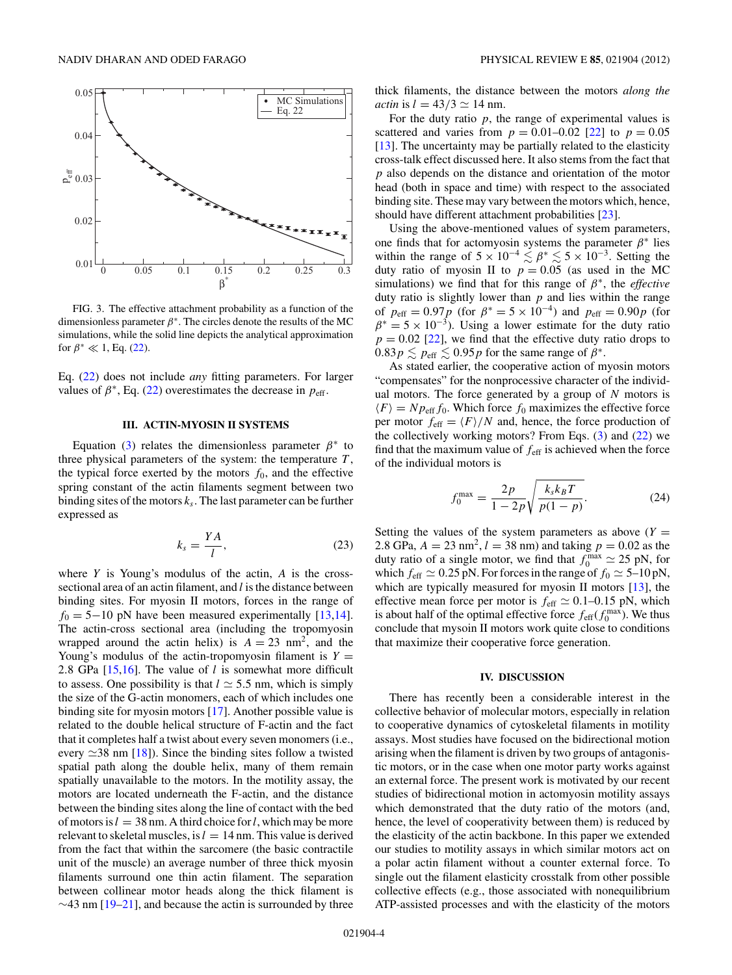<span id="page-3-0"></span>

FIG. 3. The effective attachment probability as a function of the dimensionless parameter *β*∗. The circles denote the results of the MC simulations, while the solid line depicts the analytical approximation for  $\beta^* \ll 1$ , Eq. [\(22\)](#page-2-0).

Eq. [\(22\)](#page-2-0) does not include *any* fitting parameters. For larger values of  $\beta^*$ , Eq. [\(22\)](#page-2-0) overestimates the decrease in  $p_{\text{eff}}$ .

#### **III. ACTIN-MYOSIN II SYSTEMS**

Equation [\(3\)](#page-1-0) relates the dimensionless parameter  $\beta^*$  to three physical parameters of the system: the temperature *T* , the typical force exerted by the motors  $f_0$ , and the effective spring constant of the actin filaments segment between two binding sites of the motors  $k<sub>s</sub>$ . The last parameter can be further expressed as

$$
k_s = \frac{YA}{l},\tag{23}
$$

where *Y* is Young's modulus of the actin, *A* is the crosssectional area of an actin filament, and *l* is the distance between binding sites. For myosin II motors, forces in the range of  $f_0 = 5-10$  pN have been measured experimentally [\[13,14\]](#page-5-0). The actin-cross sectional area (including the tropomyosin wrapped around the actin helix) is  $A = 23$  nm<sup>2</sup>, and the Young's modulus of the actin-tropomyosin filament is  $Y =$ 2*.*8 GPa [\[15,16\]](#page-5-0). The value of *l* is somewhat more difficult to assess. One possibility is that  $l \approx 5.5$  nm, which is simply the size of the G-actin monomers, each of which includes one binding site for myosin motors [\[17\]](#page-5-0). Another possible value is related to the double helical structure of F-actin and the fact that it completes half a twist about every seven monomers (i.e., every  $\simeq$ 38 nm [\[18\]](#page-5-0)). Since the binding sites follow a twisted spatial path along the double helix, many of them remain spatially unavailable to the motors. In the motility assay, the motors are located underneath the F-actin, and the distance between the binding sites along the line of contact with the bed of motors is  $l = 38$  nm. A third choice for l, which may be more relevant to skeletal muscles, is  $l = 14$  nm. This value is derived from the fact that within the sarcomere (the basic contractile unit of the muscle) an average number of three thick myosin filaments surround one thin actin filament. The separation between collinear motor heads along the thick filament is  $\sim$ 43 nm [\[19–21\]](#page-5-0), and because the actin is surrounded by three

thick filaments, the distance between the motors *along the actin* is  $l = 43/3 \approx 14$  nm.

For the duty ratio  $p$ , the range of experimental values is scattered and varies from  $p = 0.01{\text{-}}0.02$  [\[22\]](#page-5-0) to  $p = 0.05$ [\[13\]](#page-5-0). The uncertainty may be partially related to the elasticity cross-talk effect discussed here. It also stems from the fact that *p* also depends on the distance and orientation of the motor head (both in space and time) with respect to the associated binding site. These may vary between the motors which, hence, should have different attachment probabilities [\[23\]](#page-5-0).

Using the above-mentioned values of system parameters, one finds that for actomyosin systems the parameter  $\beta^*$  lies within the range of  $5 \times 10^{-4} \lesssim \beta^* \lesssim 5 \times 10^{-3}$ . Setting the duty ratio of myosin II to  $p = 0.05$  (as used in the MC simulations) we find that for this range of *β*∗, the *effective* duty ratio is slightly lower than *p* and lies within the range of  $p_{\text{eff}} = 0.97 p$  (for  $\beta^* = 5 \times 10^{-4}$ ) and  $p_{\text{eff}} = 0.90 p$  (for  $\beta^* = 5 \times 10^{-3}$ ). Using a lower estimate for the duty ratio  $p = 0.02$  [\[22\]](#page-5-0), we find that the effective duty ratio drops to  $0.83p \lesssim p_{\text{eff}} \lesssim 0.95p$  for the same range of  $\beta^*$ .

As stated earlier, the cooperative action of myosin motors "compensates" for the nonprocessive character of the individual motors. The force generated by a group of *N* motors is  $\langle F \rangle = N p_{\text{eff}} f_0$ . Which force  $f_0$  maximizes the effective force per motor  $f_{\text{eff}} = \langle F \rangle/N$  and, hence, the force production of the collectively working motors? From Eqs. [\(3\)](#page-1-0) and [\(22\)](#page-2-0) we find that the maximum value of *f*eff is achieved when the force of the individual motors is

$$
f_0^{\max} = \frac{2p}{1 - 2p} \sqrt{\frac{k_s k_B T}{p(1 - p)}}.
$$
 (24)

Setting the values of the system parameters as above  $(Y =$ 2.8 GPa,  $A = 23$  nm<sup>2</sup>,  $l = 38$  nm) and taking  $p = 0.02$  as the duty ratio of a single motor, we find that  $f_0^{\text{max}} \simeq 25 \text{ pN}$ , for which  $f_{\text{eff}} \simeq 0.25 \text{ pN}$ . For forces in the range of  $f_0 \simeq 5{\text{-}}10 \text{ pN}$ , which are typically measured for myosin II motors  $[13]$ , the effective mean force per motor is  $f_{\text{eff}} \simeq 0.1{\text{-}}0.15 \text{ pN}$ , which is about half of the optimal effective force  $f_{\text{eff}}(f_0^{\text{max}})$ . We thus conclude that mysoin II motors work quite close to conditions that maximize their cooperative force generation.

#### **IV. DISCUSSION**

There has recently been a considerable interest in the collective behavior of molecular motors, especially in relation to cooperative dynamics of cytoskeletal filaments in motility assays. Most studies have focused on the bidirectional motion arising when the filament is driven by two groups of antagonistic motors, or in the case when one motor party works against an external force. The present work is motivated by our recent studies of bidirectional motion in actomyosin motility assays which demonstrated that the duty ratio of the motors (and, hence, the level of cooperativity between them) is reduced by the elasticity of the actin backbone. In this paper we extended our studies to motility assays in which similar motors act on a polar actin filament without a counter external force. To single out the filament elasticity crosstalk from other possible collective effects (e.g., those associated with nonequilibrium ATP-assisted processes and with the elasticity of the motors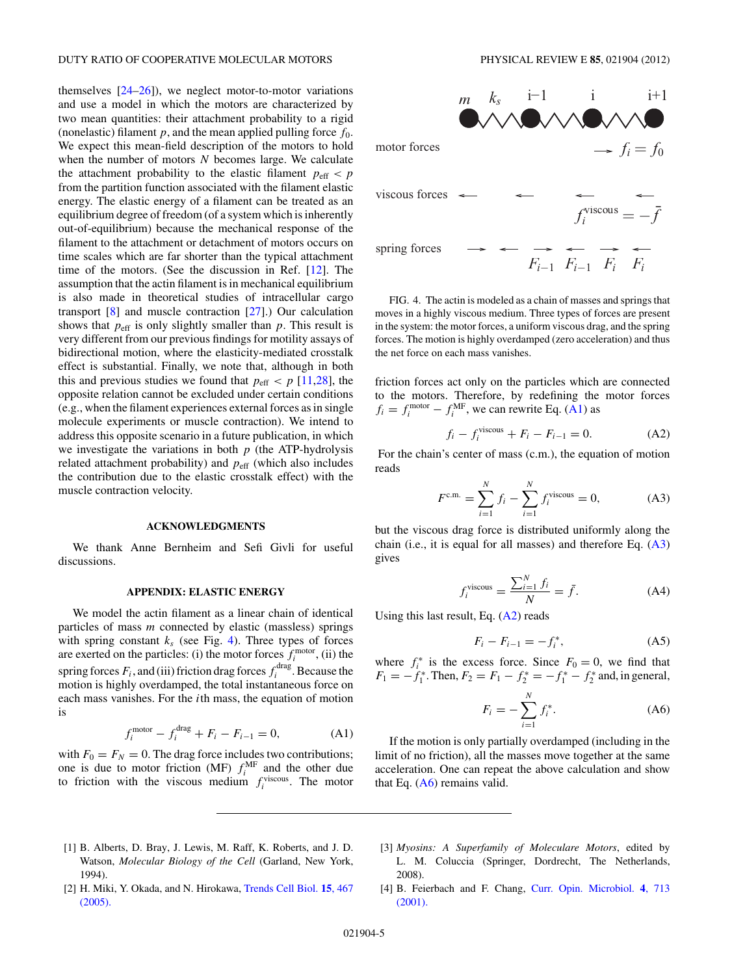<span id="page-4-0"></span>themselves  $[24-26]$ , we neglect motor-to-motor variations and use a model in which the motors are characterized by two mean quantities: their attachment probability to a rigid (nonelastic) filament  $p$ , and the mean applied pulling force  $f_0$ . We expect this mean-field description of the motors to hold when the number of motors *N* becomes large. We calculate the attachment probability to the elastic filament  $p_{\text{eff}} < p$ from the partition function associated with the filament elastic energy. The elastic energy of a filament can be treated as an equilibrium degree of freedom (of a system which is inherently out-of-equilibrium) because the mechanical response of the filament to the attachment or detachment of motors occurs on time scales which are far shorter than the typical attachment time of the motors. (See the discussion in Ref. [\[12\]](#page-5-0). The assumption that the actin filament is in mechanical equilibrium is also made in theoretical studies of intracellular cargo transport [\[8\]](#page-5-0) and muscle contraction [\[27\]](#page-5-0).) Our calculation shows that  $p_{\text{eff}}$  is only slightly smaller than  $p$ . This result is very different from our previous findings for motility assays of bidirectional motion, where the elasticity-mediated crosstalk effect is substantial. Finally, we note that, although in both this and previous studies we found that  $p_{\text{eff}} < p$  [\[11,28\]](#page-5-0), the opposite relation cannot be excluded under certain conditions (e.g., when the filament experiences external forces as in single molecule experiments or muscle contraction). We intend to address this opposite scenario in a future publication, in which we investigate the variations in both *p* (the ATP-hydrolysis related attachment probability) and  $p_{\text{eff}}$  (which also includes the contribution due to the elastic crosstalk effect) with the muscle contraction velocity.

### **ACKNOWLEDGMENTS**

We thank Anne Bernheim and Sefi Givli for useful discussions.

#### **APPENDIX: ELASTIC ENERGY**

We model the actin filament as a linear chain of identical particles of mass *m* connected by elastic (massless) springs with spring constant  $k<sub>s</sub>$  (see Fig. 4). Three types of forces are exerted on the particles: (i) the motor forces  $f_i^{\text{motor}}$ , (ii) the spring forces  $F_i$ , and (iii) friction drag forces  $f_i^{\text{drag}}$ . Because the motion is highly overdamped, the total instantaneous force on each mass vanishes. For the *i*th mass, the equation of motion is

$$
f_i^{\text{motor}} - f_i^{\text{drag}} + F_i - F_{i-1} = 0,
$$
 (A1)

with  $F_0 = F_N = 0$ . The drag force includes two contributions; one is due to motor friction (MF)  $f_i^{\text{MF}}$  and the other due to friction with the viscous medium  $f_i^{\text{viscous}}$ . The motor



FIG. 4. The actin is modeled as a chain of masses and springs that moves in a highly viscous medium. Three types of forces are present in the system: the motor forces, a uniform viscous drag, and the spring forces. The motion is highly overdamped (zero acceleration) and thus the net force on each mass vanishes.

friction forces act only on the particles which are connected to the motors. Therefore, by redefining the motor forces  $f_i = f_i^{\text{motor}} - f_i^{\text{MF}}$ , we can rewrite Eq. (A1) as

$$
f_i - f_i^{\text{viscous}} + F_i - F_{i-1} = 0.
$$
 (A2)

For the chain's center of mass (c.m.), the equation of motion reads

$$
F^{\text{c.m.}} = \sum_{i=1}^{N} f_i - \sum_{i=1}^{N} f_i^{\text{viscous}} = 0,
$$
 (A3)

but the viscous drag force is distributed uniformly along the chain (i.e., it is equal for all masses) and therefore Eq.  $(A3)$ gives

$$
f_i^{\text{viscous}} = \frac{\sum_{i=1}^{N} f_i}{N} = \bar{f}.
$$
 (A4)

Using this last result, Eq.  $(A2)$  reads

$$
F_i - F_{i-1} = -f_i^*,
$$
 (A5)

where  $f_i^*$  is the excess force. Since  $F_0 = 0$ , we find that  $F_1 = -f_1^*$ . Then,  $F_2 = F_1 - f_2^* = -f_1^* - f_2^*$  and, in general,

$$
F_i = -\sum_{i=1}^{N} f_i^*.
$$
 (A6)

If the motion is only partially overdamped (including in the limit of no friction), all the masses move together at the same acceleration. One can repeat the above calculation and show that Eq.  $(A6)$  remains valid.

- [1] B. Alberts, D. Bray, J. Lewis, M. Raff, K. Roberts, and J. D. Watson, *Molecular Biology of the Cell* (Garland, New York, 1994).
- [2] H. Miki, Y. Okada, and N. Hirokawa, [Trends Cell Biol.](http://dx.doi.org/10.1016/j.tcb.2005.07.006) **15**, 467 [\(2005\).](http://dx.doi.org/10.1016/j.tcb.2005.07.006)
- [3] *Myosins: A Superfamily of Moleculare Motors*, edited by L. M. Coluccia (Springer, Dordrecht, The Netherlands, 2008).
- [4] B. Feierbach and F. Chang, [Curr. Opin. Microbiol.](http://dx.doi.org/10.1016/S1369-5274(01)00273-9) **4**, 713 [\(2001\).](http://dx.doi.org/10.1016/S1369-5274(01)00273-9)